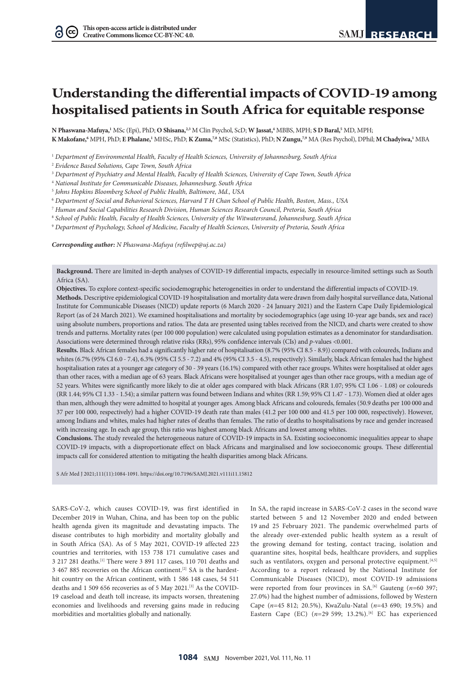$\Omega$  (cc)

# **Understanding the differential impacts of COVID-19 among hospitalised patients in South Africa for equitable response**

 $N$  **Phaswana-Mafuya,'** MSc (Epi), PhD;  $O$  Shisana, $^{2,3}$  M Clin Psychol, ScD;  $W$  Jassat, $^4$  MBBS, MPH;  $S$   $D$  Baral, $^5$  MD, MPH;  $\kappa$  Makofane,' MPH, PhD;  $\mathtt E$  **Phalane,'** MHSc, PhD;  $\kappa$  Zuma,<sup>7,8</sup> MSc (Statistics), PhD; N Zungu,<sup>7,9</sup> MA (Res Psychol), DPhil; M Chadyiwa,' MBA

<sup>1</sup> *Department of Environmental Health, Faculty of Health Sciences, University of Johannesburg, South Africa*

<sup>2</sup> *Evidence Based Solutions, Cape Town, South Africa*

<sup>3</sup> *Department of Psychiatry and Mental Health, Faculty of Health Sciences, University of Cape Town, South Africa*

<sup>4</sup> *National Institute for Communicable Diseases, Johannesburg, South Africa*

<sup>5</sup> *Johns Hopkins Bloomberg School of Public Health, Baltimore, Md., USA*

<sup>6</sup> *Department of Social and Behavioral Sciences, Harvard T H Chan School of Public Health, Boston, Mass., USA*

<sup>7</sup> *Human and Social Capabilities Research Division, Human Sciences Research Council, Pretoria, South Africa*

<sup>8</sup> *School of Public Health, Faculty of Health Sciences, University of the Witwatersrand, Johannesburg, South Africa*

<sup>9</sup> *Department of Psychology, School of Medicine, Faculty of Health Sciences, University of Pretoria, South Africa*

*Corresponding author: N Phaswana-Mafuya ([refilwep@uj.ac.za\)](mailto:refilwep@uj.ac.za)*

**Background.** There are limited in-depth analyses of COVID-19 differential impacts, especially in resource-limited settings such as South Africa (SA).

**Objectives.** To explore context-specific sociodemographic heterogeneities in order to understand the differential impacts of COVID-19.

**Methods.** Descriptive epidemiological COVID-19 hospitalisation and mortality data were drawn from daily hospital surveillance data, National Institute for Communicable Diseases (NICD) update reports (6 March 2020 - 24 January 2021) and the Eastern Cape Daily Epidemiological Report (as of 24 March 2021). We examined hospitalisations and mortality by sociodemographics (age using 10-year age bands, sex and race) using absolute numbers, proportions and ratios. The data are presented using tables received from the NICD, and charts were created to show trends and patterns. Mortality rates (per 100 000 population) were calculated using population estimates as a denominator for standardisation. Associations were determined through relative risks (RRs), 95% confidence intervals (CIs) and *p*-values <0.001.

**Results.** Black African females had a significantly higher rate of hospitalisation (8.7% (95% CI 8.5 - 8.9)) compared with coloureds, Indians and whites (6.7% (95% CI 6.0 - 7.4), 6.3% (95% CI 5.5 - 7.2) and 4% (95% CI 3.5 - 4.5), respectively). Similarly, black African females had the highest hospitalisation rates at a younger age category of 30 - 39 years (16.1%) compared with other race groups. Whites were hospitalised at older ages than other races, with a median age of 63 years. Black Africans were hospitalised at younger ages than other race groups, with a median age of 52 years. Whites were significantly more likely to die at older ages compared with black Africans (RR 1.07; 95% CI 1.06 - 1.08) or coloureds (RR 1.44; 95% CI 1.33 - 1.54); a similar pattern was found between Indians and whites (RR 1.59; 95% CI 1.47 - 1.73). Women died at older ages than men, although they were admitted to hospital at younger ages. Among black Africans and coloureds, females (50.9 deaths per 100 000 and 37 per 100 000, respectively) had a higher COVID-19 death rate than males (41.2 per 100 000 and 41.5 per 100 000, respectively). However, among Indians and whites, males had higher rates of deaths than females. The ratio of deaths to hospitalisations by race and gender increased with increasing age. In each age group, this ratio was highest among black Africans and lowest among whites.

**Conclusions.** The study revealed the heterogeneous nature of COVID-19 impacts in SA. Existing socioeconomic inequalities appear to shape COVID-19 impacts, with a disproportionate effect on black Africans and marginalised and low socioeconomic groups. These differential impacts call for considered attention to mitigating the health disparities among black Africans.

S Afr Med J 2021;111(11):1084-1091. <https://doi.org/10.7196/SAMJ.2021.v111i11.15812>

SARS-CoV-2, which causes COVID-19, was first identified in December 2019 in Wuhan, China, and has been top on the public health agenda given its magnitude and devastating impacts. The disease contributes to high morbidity and mortality globally and in South Africa (SA). As of 5 May 2021, COVID-19 affected 223 countries and territories, with 153 738 171 cumulative cases and 3 217 281 deaths.[1] There were 3 891 117 cases, 110 701 deaths and 3 467 885 recoveries on the African continent.[2] SA is the hardesthit country on the African continent, with 1 586 148 cases, 54 511 deaths and 1 509 656 recoveries as of 5 May 2021.<sup>[3]</sup> As the COVID-19 caseload and death toll increase, its impacts worsen, threatening economies and livelihoods and reversing gains made in reducing morbidities and mortalities globally and nationally.

In SA, the rapid increase in SARS-CoV-2 cases in the second wave started between 5 and 12 November 2020 and ended between 19 and 25 February 2021. The pandemic overwhelmed parts of the already over-extended public health system as a result of the growing demand for testing, contact tracing, isolation and quarantine sites, hospital beds, healthcare providers, and supplies such as ventilators, oxygen and personal protective equipment.<sup>[4,5]</sup> According to a report released by the National Institute for Communicable Diseases (NICD), most COVID-19 admissions were reported from four provinces in SA.<sup>[6]</sup> Gauteng (*n*=60 397; 27.0%) had the highest number of admissions, followed by Western Cape (*n*=45 812; 20.5%), KwaZulu-Natal (*n*=43 690; 19.5%) and Eastern Cape (EC) (n=29 599; 13.2%).<sup>[6]</sup> EC has experienced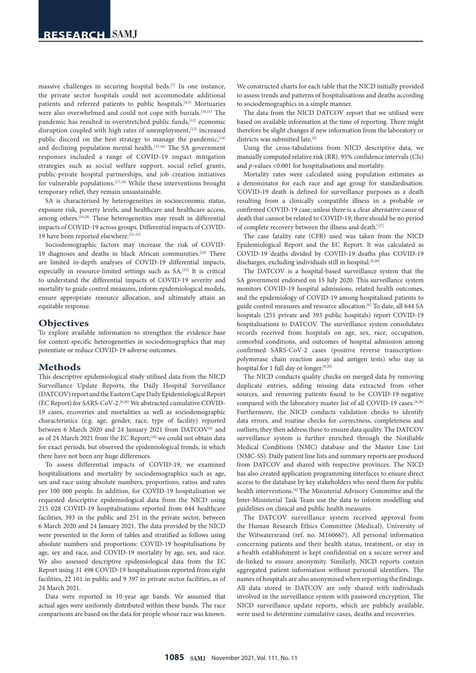massive challenges in securing hospital beds.[7] In one instance, the private sector hospitals could not accommodate additional patients and referred patients to public hospitals.[8,9] Mortuaries were also overwhelmed and could not cope with burials.<sup>[10,11]</sup> The pandemic has resulted in overstretched public funds,<sup>[12]</sup> economic disruption coupled with high rates of unemployment,<sup>[13]</sup> increased public discord on the best strategy to manage the pandemic, [14] and declining population mental health.<sup>[15,16]</sup> The SA government responses included a range of COVID-19 impact mitigation strategies such as social welfare support, social relief grants, public-private hospital partnerships, and job creation initiatives for vulnerable populations.[17,18] While these interventions brought temporary relief, they remain unsustainable.

SA is characterised by heterogeneities in socioeconomic status, exposure risk, poverty levels, and healthcare and healthcare access, among others.<sup>[19,20]</sup> These heterogeneities may result in differential impacts of COVID-19 across groups. Differential impacts of COVID-19 have been reported elsewhere.[21-23]

Sociodemographic factors may increase the risk of COVID-19 diagnoses and deaths in black African communities.<sup>[24]</sup> There are limited in-depth analyses of COVID-19 differential impacts, especially in resource-limited settings such as SA.[25] It is critical to understand the differential impacts of COVID-19 severity and mortality to guide control measures, inform epidemiological models, ensure appropriate resource allocation, and ultimately attain an equitable response.

#### **Objectives**

To explore available information to strengthen the evidence base for context-specific heterogeneities in sociodemographics that may potentiate or reduce COVID-19 adverse outcomes.

# **Methods**

This descriptive epidemiological study utilised data from the NICD Surveillance Update Reports, the Daily Hospital Surveillance (DATCOV) report and the Eastern Cape Daily Epidemiological Report (EC Report) for SARS-CoV-2.[6,26] We abstracted cumulative COVID-19 cases, recoveries and mortalities as well as sociodemographic characteristics (e.g. age, gender, race, type of facility) reported between 6 March 2020 and 24 January 2021 from DATCOV<sup>[6]</sup> and as of 24 March 2021 from the EC Report;<sup>[26]</sup> we could not obtain data for exact periods, but observed the epidemiological trends, in which there have not been any huge differences.

To assess differential impacts of COVID-19, we examined hospitalisations and mortality by sociodemographics such as age, sex and race using absolute numbers, proportions, ratios and rates per 100 000 people. In addition, for COVID-19 hospitalisation we requested descriptive epidemiological data from the NICD using 215 028 COVID-19 hospitalisations reported from 644 healthcare facilities, 393 in the public and 251 in the private sector, between 6 March 2020 and 24 January 2021. The data provided by the NICD were presented in the form of tables and stratified as follows using absolute numbers and proportions: COVID-19 hospitalisations by age, sex and race, and COVID-19 mortality by age, sex, and race. We also assessed descriptive epidemiological data from the EC Report using 31 498 COVID-19 hospitalisations reported from eight facilities, 22 101 in public and 9 397 in private sector facilities, as of 24 March 2021.

Data were reported in 10-year age bands. We assumed that actual ages were uniformly distributed within these bands. The race comparisons are based on the data for people whose race was known.

We constructed charts for each table that the NICD initially provided to assess trends and patterns of hospitalisations and deaths according to sociodemographics in a simple manner.

The data from the NICD DATCOV report that we utilised were based on available information at the time of reporting. There might therefore be slight changes if new information from the laboratory or districts was submitted late.<sup>[6]</sup>

Using the cross-tabulations from NICD descriptive data, we manually computed relative risk (RR), 95% confidence intervals (CIs) and *p*-values <0.001 for hospitalisations and mortality.

Mortality rates were calculated using population estimates as a denominator for each race and age group for standardisation. 'COVID-19 death is defined for surveillance purposes as a death resulting from a clinically compatible illness in a probable or confirmed COVID-19 case; unless there is a clear alternative cause of death that cannot be related to COVID-19; there should be no period of complete recovery between the illness and death.'[27]

The case fatality rate (CFR) used was taken from the NICD Epidemiological Report and the EC Report. It was calculated as COVID-19 deaths divided by COVID-19 deaths plus COVID-19 discharges, excluding individuals still in hospital.<sup>[6,26]</sup>

The DATCOV is a hospital-based surveillance system that the SA government endorsed on 15 July 2020. This surveillance system monitors COVID-19 hospital admissions, related health outcomes, and the epidemiology of COVID-19 among hospitalised patients to guide control measures and resource allocation.<sup>[6]</sup> To date, all 644 SA hospitals (251 private and 393 public hospitals) report COVID-19 hospitalisations to DATCOV. The surveillance system consolidates records received from hospitals on age, sex, race, occupation, comorbid conditions, and outcomes of hospital admission among confirmed SARS-CoV-2 cases (positive reverse transcriptionpolymerase chain reaction assay and antigen tests) who stay in hospital for 1 full day or longer.<sup>[6,26]</sup>

The NICD conducts quality checks on merged data by removing duplicate entries, adding missing data extracted from other sources, and removing patients found to be COVID-19-negative compared with the laboratory master list of all COVID-19 cases.<sup>[6,26]</sup> Furthermore, the NICD conducts validation checks to identify data errors, and routine checks for correctness, completeness and outliers; they then address these to ensure data quality. The DATCOV surveillance system is further enriched through the Notifiable Medical Conditions (NMC) database and the Master Line List (NMC-SS). Daily patient line lists and summary reports are produced from DATCOV and shared with respective provinces. The NICD has also created application programming interfaces to ensure direct access to the database by key stakeholders who need them for public health interventions.<sup>[6]</sup> The Ministerial Advisory Committee and the Inter-Ministerial Task Team use the data to inform modelling and guidelines on clinical and public health measures.

The DATCOV surveillance system received approval from the Human Research Ethics Committee (Medical), University of the Witwatersrand (ref. no. M160667). All personal information concerning patients and their health status, treatment, or stay in a health establishment is kept confidential on a secure server and de-linked to ensure anonymity. Similarly, NICD reports contain aggregated patient information without personal identifiers. The names of hospitals are also anonymised when reporting the findings. All data stored in DATCOV are only shared with individuals involved in the surveillance system with password encryption. The NICD surveillance update reports, which are publicly available, were used to determine cumulative cases, deaths and recoveries.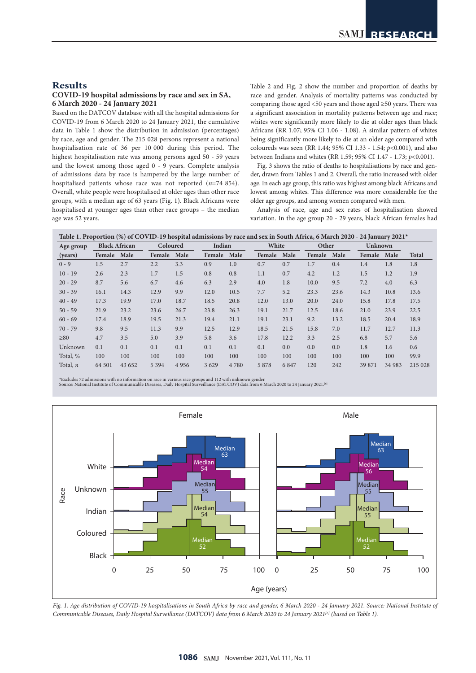# **Results**

## **COVID-19 hospital admissions by race and sex in SA, 6 March 2020 - 24 January 2021**

Based on the DATCOV database with all the hospital admissions for COVID-19 from 6 March 2020 to 24 January 2021, the cumulative data in Table 1 show the distribution in admission (percentages) by race, age and gender. The 215 028 persons represent a national hospitalisation rate of 36 per 10 000 during this period. The highest hospitalisation rate was among persons aged 50 - 59 years and the lowest among those aged 0 - 9 years. Complete analysis of admissions data by race is hampered by the large number of hospitalised patients whose race was not reported (*n*=74 854). Overall, white people were hospitalised at older ages than other race groups, with a median age of 63 years (Fig. 1). Black Africans were hospitalised at younger ages than other race groups – the median age was 52 years.

Table 2 and Fig. 2 show the number and proportion of deaths by race and gender. Analysis of mortality patterns was conducted by comparing those aged <50 years and those aged ≥50 years. There was a significant association in mortality patterns between age and race; whites were significantly more likely to die at older ages than black Africans (RR 1.07; 95% CI 1.06 - 1.08). A similar pattern of whites being significantly more likely to die at an older age compared with coloureds was seen (RR 1.44; 95% CI 1.33 - 1.54; *p*<0.001), and also between Indians and whites (RR 1.59; 95% CI 1.47 - 1.73; *p*<0.001).

Fig. 3 shows the ratio of deaths to hospitalisations by race and gender, drawn from Tables 1 and 2. Overall, the ratio increased with older age. In each age group, this ratio was highest among black Africans and lowest among whites. This difference was more considerable for the older age groups, and among women compared with men.

Analysis of race, age and sex rates of hospitalisation showed variation. In the age group 20 - 29 years, black African females had

| Table 1. Proportion (%) of COVID-19 hospital admissions by race and sex in South Africa, 6 March 2020 - 24 January 2021* |                      |        |          |      |        |         |        |      |        |      |                |        |              |
|--------------------------------------------------------------------------------------------------------------------------|----------------------|--------|----------|------|--------|---------|--------|------|--------|------|----------------|--------|--------------|
| Age group                                                                                                                | <b>Black African</b> |        | Coloured |      | Indian |         | White  |      | Other  |      | <b>Unknown</b> |        |              |
| (years)                                                                                                                  | Female               | Male   | Female   | Male | Female | Male    | Female | Male | Female | Male | Female         | Male   | <b>Total</b> |
| $0 - 9$                                                                                                                  | 1.5                  | 2.7    | 2.2      | 3.3  | 0.9    | 1.0     | 0.7    | 0.7  | 1.7    | 0.4  | 1.4            | 1.8    | 1.8          |
| $10 - 19$                                                                                                                | 2.6                  | 2.3    | 1.7      | 1.5  | 0.8    | 0.8     | 1.1    | 0.7  | 4.2    | 1.2  | 1.5            | 1.2    | 1.9          |
| $20 - 29$                                                                                                                | 8.7                  | 5.6    | 6.7      | 4.6  | 6.3    | 2.9     | 4.0    | 1.8  | 10.0   | 9.5  | 7.2            | 4.0    | 6.3          |
| $30 - 39$                                                                                                                | 16.1                 | 14.3   | 12.9     | 9.9  | 12.0   | 10.5    | 7.7    | 5.2  | 23.3   | 23.6 | 14.3           | 10.8   | 13.6         |
| $40 - 49$                                                                                                                | 17.3                 | 19.9   | 17.0     | 18.7 | 18.5   | 20.8    | 12.0   | 13.0 | 20.0   | 24.0 | 15.8           | 17.8   | 17.5         |
| $50 - 59$                                                                                                                | 21.9                 | 23.2   | 23.6     | 26.7 | 23.8   | 26.3    | 19.1   | 21.7 | 12.5   | 18.6 | 21.0           | 23.9   | 22.5         |
| $60 - 69$                                                                                                                | 17.4                 | 18.9   | 19.5     | 21.3 | 19.4   | 21.1    | 19.1   | 23.1 | 9.2    | 13.2 | 18.5           | 20.4   | 18.9         |
| $70 - 79$                                                                                                                | 9.8                  | 9.5    | 11.3     | 9.9  | 12.5   | 12.9    | 18.5   | 21.5 | 15.8   | 7.0  | 11.7           | 12.7   | 11.3         |
| $\geq 80$                                                                                                                | 4.7                  | 3.5    | 5.0      | 3.9  | 5.8    | 3.6     | 17.8   | 12.2 | 3.3    | 2.5  | 6.8            | 5.7    | 5.6          |
| Unknown                                                                                                                  | 0.1                  | 0.1    | 0.1      | 0.1  | 0.1    | 0.1     | 0.1    | 0.0  | 0.0    | 0.0  | 1.8            | 1.6    | 0.6          |
| Total, %                                                                                                                 | 100                  | 100    | 100      | 100  | 100    | 100     | 100    | 100  | 100    | 100  | 100            | 100    | 99.9         |
| Total, $n$                                                                                                               | 64 501               | 43 652 | 5 3 9 4  | 4956 | 3629   | 4 7 8 0 | 5878   | 6847 | 120    | 242  | 39 871         | 34 983 | 215 028      |

\*Excludes 72 admissions with no information on race in various race groups and 112 with unknown gender.<br>Source: National Institute of Communicable Diseases, Daily Hospital Surveillance (DATCOV) data from 6 March 2020 to 24



*Fig. 1. Age distribution of COVID-19 hospitalisations in South Africa by race and gender, 6 March 2020 - 24 January 2021. Source: National Institute of Communicable Diseases, Daily Hospital Surveillance (DATCOV) data from 6 March 2020 to 24 January 2021[6] (based on Table 1).*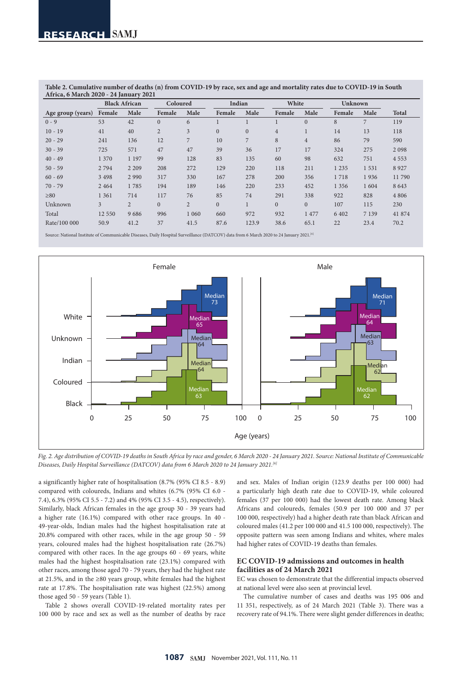| Africa, 6 March 2020 - 24 January 2021 |                      |                |                |                |                |                  |                |                |                |         |              |
|----------------------------------------|----------------------|----------------|----------------|----------------|----------------|------------------|----------------|----------------|----------------|---------|--------------|
|                                        | <b>Black African</b> |                | Coloured       |                | Indian         |                  | White          |                | <b>Unknown</b> |         |              |
| Age group (years)                      | Female               | Male           | Female         | Male           | Female         | Male             | Female         | Male           | Female         | Male    | <b>Total</b> |
| $0 - 9$                                | 53                   | 42             | $\Omega$       | 6              |                |                  |                | $\Omega$       | 8              | 7       | 119          |
| $10 - 19$                              | 41                   | 40             | $\overline{2}$ | $\overline{3}$ | $\overline{0}$ | $\boldsymbol{0}$ | $\overline{4}$ |                | 14             | 13      | 118          |
| $20 - 29$                              | 241                  | 136            | 12             | 7              | 10             | 7                | 8              | $\overline{4}$ | 86             | 79      | 590          |
| $30 - 39$                              | 725                  | 571            | 47             | 47             | 39             | 36               | 17             | 17             | 324            | 275     | 2098         |
| $40 - 49$                              | 1 370                | 1 1 9 7        | 99             | 128            | 83             | 135              | 60             | 98             | 632            | 751     | 4 5 5 3      |
| $50 - 59$                              | 2 7 9 4              | 2 2 0 9        | 208            | 272            | 129            | 220              | 118            | 211            | 1 2 3 5        | 1 5 3 1 | 8927         |
| $60 - 69$                              | 3 4 9 8              | 2 9 9 0        | 317            | 330            | 167            | 278              | 200            | 356            | 1718           | 1936    | 11790        |
| $70 - 79$                              | 2 4 6 4              | 1785           | 194            | 189            | 146            | 220              | 233            | 452            | 1 3 5 6        | 1 604   | 8 6 4 3      |
| $\geq 80$                              | 1 3 6 1              | 714            | 117            | 76             | 85             | 74               | 291            | 338            | 922            | 828     | 4 8 0 6      |
| Unknown                                | 3                    | $\overline{2}$ | $\Omega$       | $\overline{2}$ | $\overline{0}$ | $\mathbf{1}$     | $\mathbf{0}$   | $\mathbf{0}$   | 107            | 115     | 230          |
| Total                                  | 12 550               | 9686           | 996            | 1 0 6 0        | 660            | 972              | 932            | 1477           | 6 4 0 2        | 7 1 3 9 | 41 874       |
| Rate/100 000                           | 50.9                 | 41.2           | 37             | 41.5           | 87.6           | 123.9            | 38.6           | 65.1           | 22             | 23.4    | 70.2         |

**Table 2. Cumulative number of deaths (n) from COVID-19 by race, sex and age and mortality rates due to COVID-19 in South** 

Source: National Institute of Communicable Diseases, Daily Hospital Surveillance (DATCOV) data from 6 March 2020 to 24 January 2021.<sup>[6]</sup>



*Fig. 2. Age distribution of COVID-19 deaths in South Africa by race and gender, 6 March 2020 - 24 January 2021. Source: National Institute of Communicable Diseases, Daily Hospital Surveillance (DATCOV) data from 6 March 2020 to 24 January 2021.[6]*

a significantly higher rate of hospitalisation (8.7% (95% CI 8.5 - 8.9) compared with coloureds, Indians and whites (6.7% (95% CI 6.0 - 7.4), 6.3% (95% CI 5.5 - 7.2) and 4% (95% CI 3.5 - 4.5), respectively). Similarly, black African females in the age group 30 - 39 years had a higher rate (16.1%) compared with other race groups. In 40 - 49-year-olds, Indian males had the highest hospitalisation rate at 20.8% compared with other races, while in the age group 50 - 59 years, coloured males had the highest hospitalisation rate (26.7%) compared with other races. In the age groups 60 - 69 years, white males had the highest hospitalisation rate (23.1%) compared with other races, among those aged 70 - 79 years, they had the highest rate at 21.5%, and in the ≥80 years group, white females had the highest rate at 17.8%. The hospitalisation rate was highest (22.5%) among those aged 50 - 59 years (Table 1).

Table 2 shows overall COVID-19-related mortality rates per 100 000 by race and sex as well as the number of deaths by race and sex. Males of Indian origin (123.9 deaths per 100 000) had a particularly high death rate due to COVID-19, while coloured females (37 per 100 000) had the lowest death rate. Among black Africans and coloureds, females (50.9 per 100 000 and 37 per 100 000, respectively) had a higher death rate than black African and coloured males (41.2 per 100 000 and 41.5 100 000, respectively). The opposite pattern was seen among Indians and whites, where males had higher rates of COVID-19 deaths than females.

## **EC COVID-19 admissions and outcomes in health facilities as of 24 March 2021**

EC was chosen to demonstrate that the differential impacts observed at national level were also seen at provincial level.

The cumulative number of cases and deaths was 195 006 and 11 351, respectively, as of 24 March 2021 (Table 3). There was a recovery rate of 94.1%. There were slight gender differences in deaths;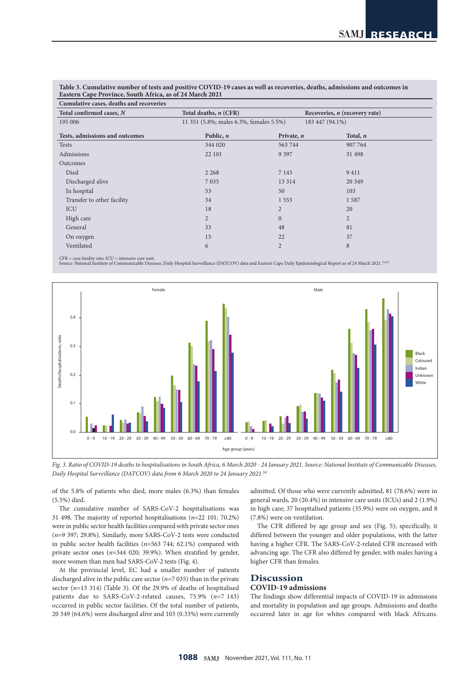## **Table 3. Cumulative number of tests and positive COVID-19 cases as well as recoveries, deaths, admissions and outcomes in Eastern Cape Province, South Africa, as of 24 March 2021**

| Cumulative cases, deaths and recoveries |                                         |                |                                      |  |  |  |
|-----------------------------------------|-----------------------------------------|----------------|--------------------------------------|--|--|--|
| Total confirmed cases, N                | Total deaths, n (CFR)                   |                | Recoveries, <i>n</i> (recovery rate) |  |  |  |
| 195 006                                 | 11 351 (5.8%; males 6.3%, females 5.5%) |                | 183 447 (94.1%)                      |  |  |  |
| Tests, admissions and outcomes          | Public, $n$                             | Private, n     | Total, n                             |  |  |  |
| <b>Tests</b>                            | 344 020                                 | 563 744        | 907 764                              |  |  |  |
| Admissions                              | 22 101                                  | 9 3 9 7        | 31 498                               |  |  |  |
| Outcomes                                |                                         |                |                                      |  |  |  |
| Died                                    | 2 2 6 8                                 | 7 1 4 3        | 9411                                 |  |  |  |
| Discharged alive                        | 7 0 3 5                                 | 13 3 14        | 20 349                               |  |  |  |
| In hospital                             | 53                                      | 50             | 103                                  |  |  |  |
| Transfer to other facility              | 34                                      | 1 5 5 3        | 1587                                 |  |  |  |
| ICU                                     | 18                                      | $\overline{2}$ | 20                                   |  |  |  |
| High care                               | 2                                       | $\overline{0}$ | $\overline{2}$                       |  |  |  |
| General                                 | 33                                      | 48             | 81                                   |  |  |  |
| On oxygen                               | 15                                      | 22             | 37                                   |  |  |  |
| Ventilated                              | 6                                       | $\overline{2}$ | 8                                    |  |  |  |

 $CFR = case$  fatality rate;  $ICU =$  intensive care unit. Source: National Institute of Communicable Diseases, Daily Hospital Surveillance (DATCOV) data and Eastern Cape Daily Epidemiological Report as of 24 March 2021. [6,26]



*Fig. 3. Ratio of COVID-19 deaths to hospitalisations in South Africa, 6 March 2020 - 24 January 2021. Source: National Institute of Communicable Diseases, Daily Hospital Surveillance (DATCOV) data from 6 March 2020 to 24 January 2021.[6]*

of the 5.8% of patients who died, more males (6.3%) than females (5.5%) died.

The cumulative number of SARS-CoV-2 hospitalisations was 31 498. The majority of reported hospitalisations (*n*=22 101; 70.2%) were in public sector health facilities compared with private sector ones (*n*=9 397; 29.8%). Similarly, more SARS-CoV-2 tests were conducted in public sector health facilities (*n*=563 744; 62.1%) compared with private sector ones (*n*=344 020; 39.9%). When stratified by gender, more women than men had SARS-CoV-2 tests (Fig. 4).

At the provincial level, EC had a smaller number of patients discharged alive in the public care sector (*n*=7 035) than in the private sector (*n*=13 314) (Table 3). Of the 29.9% of deaths of hospitalised patients due to SARS-CoV-2-related causes, 75.9% (*n*=7 143) occurred in public sector facilities. Of the total number of patients, 20 349 (64.6%) were discharged alive and 103 (0.33%) were currently admitted. Of those who were currently admitted, 81 (78.6%) were in general wards, 20 (20.4%) in intensive care units (ICUs) and 2 (1.9%) in high care; 37 hospitalised patients (35.9%) were on oxygen, and 8 (7.8%) were on ventilation.

The CFR differed by age group and sex (Fig. 5); specifically, it differed between the younger and older populations, with the latter having a higher CFR. The SARS-CoV-2-related CFR increased with advancing age. The CFR also differed by gender, with males having a higher CFR than females.

# **Discussion**

#### **COVID-19 admissions**

The findings show differential impacts of COVID-19 in admissions and mortality in population and age groups. Admissions and deaths occurred later in age for whites compared with black Africans.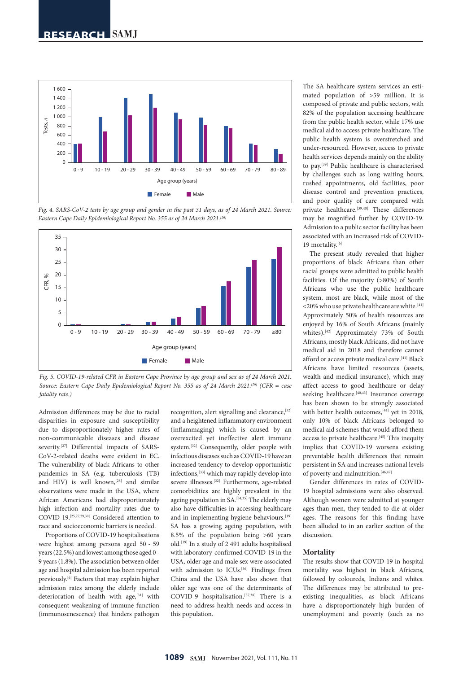

*Fig. 4. SARS-CoV-2 tests by age group and gender in the past 31 days, as of 24 March 2021. Source: Eastern Cape Daily Epidemiological Report No. 355 as of 24 March 2021.[26]*



*Fig. 5. COVID-19-related CFR in Eastern Cape Province by age group and sex as of 24 March 2021. Source: Eastern Cape Daily Epidemiological Report No. 355 as of 24 March 2021.[26] (CFR = case fatality rate.)*

Admission differences may be due to racial disparities in exposure and susceptibility due to disproportionately higher rates of non-communicable diseases and disease severity.<sup>[27]</sup> Differential impacts of SARS-CoV-2-related deaths were evident in EC. The vulnerability of black Africans to other pandemics in SA (e.g. tuberculosis (TB) and HIV) is well known,  $[28]$  and similar observations were made in the USA, where African Americans had disproportionately high infection and mortality rates due to COVID-19.[25,27,29,30] Considered attention to race and socioeconomic barriers is needed.

Proportions of COVID-19 hospitalisations were highest among persons aged 50 - 59 years (22.5%) and lowest among those aged 0 - 9 years (1.8%). The association between older age and hospital admission has been reported previously.<sup>[6]</sup> Factors that may explain higher admission rates among the elderly include deterioration of health with age,<sup>[31]</sup> with consequent weakening of immune function (immunosenescence) that hinders pathogen

recognition, alert signalling and clearance, [32] and a heightened inflammatory environment (inflammaging) which is caused by an overexcited yet ineffective alert immune system.[32] Consequently, older people with infectious diseases such as COVID-19 have an increased tendency to develop opportunistic infections,[33] which may rapidly develop into severe illnesses.[32] Furthermore, age-related comorbidities are highly prevalent in the ageing population in SA.<sup>[34,35]</sup> The elderly may also have difficulties in accessing healthcare and in implementing hygiene behaviours.<sup>[19]</sup> SA has a growing ageing population, with 8.5% of the population being >60 years old.[19] In a study of 2 491 adults hospitalised with laboratory-confirmed COVID-19 in the USA, older age and male sex were associated with admission to ICUs.<sup>[36]</sup> Findings from China and the USA have also shown that older age was one of the determinants of COVID-9 hospitalisation.<sup>[37,38]</sup> There is a need to address health needs and access in this population.

The SA healthcare system services an estimated population of >59 million. It is composed of private and public sectors, with 82% of the population accessing healthcare from the public health sector, while 17% use medical aid to access private healthcare. The public health system is overstretched and under-resourced. However, access to private health services depends mainly on the ability to pay.[39] Public healthcare is characterised by challenges such as long waiting hours, rushed appointments, old facilities, poor disease control and prevention practices, and poor quality of care compared with private healthcare.<sup>[39,40]</sup> These differences may be magnified further by COVID-19. Admission to a public sector facility has been associated with an increased risk of COVID-19 mortality.[6]

The present study revealed that higher proportions of black Africans than other racial groups were admitted to public health facilities. Of the majority (>80%) of South Africans who use the public healthcare system, most are black, while most of the  $<$  20% who use private healthcare are white.  $\left[^{41}\right]$ Approximately 50% of health resources are enjoyed by 16% of South Africans (mainly whites).[42] Approximately 73% of South Africans, mostly black Africans, did not have medical aid in 2018 and therefore cannot afford or access private medical care.<sup>[41]</sup> Black Africans have limited resources (assets, wealth and medical insurance), which may affect access to good healthcare or delay seeking healthcare.<sup>[40,43]</sup> Insurance coverage has been shown to be strongly associated with better health outcomes,<sup>[44]</sup> yet in 2018, only 10% of black Africans belonged to medical aid schemes that would afford them access to private healthcare.<sup>[45]</sup> This inequity implies that COVID-19 worsens existing preventable health differences that remain persistent in SA and increases national levels of poverty and malnutrition.[46,47]

Gender differences in rates of COVID-19 hospital admissions were also observed. Although women were admitted at younger ages than men, they tended to die at older ages. The reasons for this finding have been alluded to in an earlier section of the discussion.

# **Mortality**

The results show that COVID-19 in-hospital mortality was highest in black Africans, followed by coloureds, Indians and whites. The differences may be attributed to preexisting inequalities, as black Africans have a disproportionately high burden of unemployment and poverty (such as no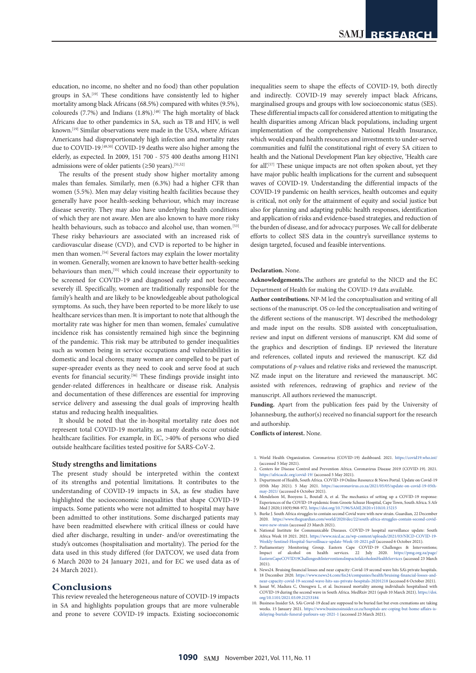education, no income, no shelter and no food) than other population groups in SA.[19] These conditions have consistently led to higher mortality among black Africans (68.5%) compared with whites (9.5%), coloureds  $(7.7%)$  and Indians  $(1.8%)$ .<sup>[48]</sup> The high mortality of black Africans due to other pandemics in SA, such as TB and HIV, is well known.[19] Similar observations were made in the USA, where African Americans had disproportionately high infection and mortality rates due to COVID-19.<sup>[49,50]</sup> COVID-19 deaths were also higher among the elderly, as expected. In 2009, 151 700 - 575 400 deaths among H1N1 admissions were of older patients ( $\geq$ 50 years).<sup>[51,52]</sup>

The results of the present study show higher mortality among males than females. Similarly, men (6.3%) had a higher CFR than women (5.5%). Men may delay visiting health facilities because they generally have poor health-seeking behaviour, which may increase disease severity. They may also have underlying health conditions of which they are not aware. Men are also known to have more risky health behaviours, such as tobacco and alcohol use, than women.<sup>[53]</sup> These risky behaviours are associated with an increased risk of cardiovascular disease (CVD), and CVD is reported to be higher in men than women.<sup>[54]</sup> Several factors may explain the lower mortality in women. Generally, women are known to have better health-seeking behaviours than men,[55] which could increase their opportunity to be screened for COVID-19 and diagnosed early and not become severely ill. Specifically, women are traditionally responsible for the family's health and are likely to be knowledgeable about pathological symptoms. As such, they have been reported to be more likely to use healthcare services than men. It is important to note that although the mortality rate was higher for men than women, females' cumulative incidence risk has consistently remained high since the beginning of the pandemic. This risk may be attributed to gender inequalities such as women being in service occupations and vulnerabilities in domestic and local chores; many women are compelled to be part of super-spreader events as they need to cook and serve food at such events for financial security.[56] These findings provide insight into gender-related differences in healthcare or disease risk. Analysis and documentation of these differences are essential for improving service delivery and assessing the dual goals of improving health status and reducing health inequalities.

It should be noted that the in-hospital mortality rate does not represent total COVID-19 mortality, as many deaths occur outside healthcare facilities. For example, in EC, >40% of persons who died outside healthcare facilities tested positive for SARS-CoV-2.

#### **Study strengths and limitations**

The present study should be interpreted within the context of its strengths and potential limitations. It contributes to the understanding of COVID-19 impacts in SA, as few studies have highlighted the socioeconomic inequalities that shape COVID-19 impacts. Some patients who were not admitted to hospital may have been admitted to other institutions. Some discharged patients may have been readmitted elsewhere with critical illness or could have died after discharge, resulting in under- and/or overestimating the study's outcomes (hospitalisation and mortality). The period for the data used in this study differed (for DATCOV, we used data from 6 March 2020 to 24 January 2021, and for EC we used data as of 24 March 2021).

## **Conclusions**

This review revealed the heterogeneous nature of COVID-19 impacts in SA and highlights population groups that are more vulnerable and prone to severe COVID-19 impacts. Existing socioeconomic

inequalities seem to shape the effects of COVID-19, both directly and indirectly. COVID-19 may severely impact black Africans, marginalised groups and groups with low socioeconomic status (SES). These differential impacts call for considered attention to mitigating the health disparities among African black populations, including urgent implementation of the comprehensive National Health Insurance, which would expand health resources and investments to under-served communities and fulfil the constitutional right of every SA citizen to health and the National Development Plan key objective, 'Health care for all'.[57] These unique impacts are not often spoken about, yet they have major public health implications for the current and subsequent waves of COVID-19. Understanding the differential impacts of the COVID-19 pandemic on health services, health outcomes and equity is critical, not only for the attainment of equity and social justice but also for planning and adapting public health responses, identification and application of risks and evidence-based strategies, and reduction of the burden of disease, and for advocacy purposes. We call for deliberate efforts to collect SES data in the country's surveillance systems to design targeted, focused and feasible interventions.

#### **Declaration.** None.

**Acknowledgements.**The authors are grateful to the NICD and the EC Department of Health for making the COVID-19 data available.

**Author contributions.** NP-M led the conceptualisation and writing of all sections of the manuscript. OS co-led the conceptualisation and writing of the different sections of the manuscript. WJ described the methodology and made input on the results. SDB assisted with conceptualisation, review and input on different versions of manuscript. KM did some of the graphics and description of findings. EP reviewed the literature and references, collated inputs and reviewed the manuscript. KZ did computations of *p*-values and relative risks and reviewed the manuscript. NZ made input on the literature and reviewed the manauscript. MC assisted with references, redrawing of graphics and review of the manuscript. All authors reviewed the manuscript.

**Funding.** Apart from the publication fees paid by the University of Johannesburg, the author(s) received no financial support for the research and authorship.

**Conflicts of interest.** None.

- 1. World Health Organization. Coronavirus (COVID-19) dashboard. 2021. https://covid19.wh. (accessed 5 May 2021). 2. Centers for Disease Control and Prevention Africa. Coronavirus Disease 2019 (COVID-19). 2021.
- <https://africacdc.org/covid-19/> (accessed 5 May 2021).
- 3. Department of Health, South Africa. COVID-19 Online Resource & News Portal. Update on Covid-19 (05th May 2021). 5 May 2021. [https://sacoronavirus.co.za/2021/05/05/update-on-covid-19-05th-](https://sacoronavirus.co.za/2021/05/05/update-on-covid-19-05th-may-2021/)[may-2021/](https://sacoronavirus.co.za/2021/05/05/update-on-covid-19-05th-may-2021/) (accessed 6 October 2021).
- 4. Mendelson M, Booyens L, Boutall A, et al. The mechanics of setting up a COVID-19 resp Experiences of the COVID-19 epidemic from Groote Schuur Hospital, Cape Town, South Africa. S Afr Med J 2020;110(9):968-972. <https://doi.org/10.7196/SAMJ.2020.v110i10.15215>
- 5. Burke J. South Africa struggles to contain second Covid wave with new strain. Guardian, 22 December 2020. https://www.themaxidian.com/world/2020/dec/22/south-africa-struggles-contain-second-covidardian.com/world/2020/dec/22/south-africa-struggles-contain-sec [wave-new-strain](https://www.theguardian.com/world/2020/dec/22/south-africa-struggles-contain-second-covid-wave-new-strain) (accessed 23 March 2021).
- 6. National Institute for Communicable Diseases. COVID-19 hospital surveillance update: South Africa Week 10 2021. 2021. [https://www.nicd.ac.za/wp-content/uploads/2021/03/NICD-COVID-19-](https://www.nicd.ac.za/wp-content/uploads/2021/03/NICD-COVID-19-Weekly-Sentinel-Hospital-Surveillnace-update-Week-10-2021.pdf) National Institute for Commutation Existeds. Cover To Inspire<br>Africa Week 10 2021. 2021. https://www.nicd.ac.za/wp-content/uploads/2021/03/NICD-COV<br>[Weekly-Sentinel-Hospital-Surveillnace-update-Week-10-2021.pdf](https://www.nicd.ac.za/wp-content/uploads/2021/03/NICD-COVID-19-Weekly-Sentinel-Hospital-Surveillnace-update-Week-10-2021.pdf) (accessed 6
- 7. Parliamentary Monitoring Group. Eastern Cape COVID-19 Challenges & Interventions;<br>Impact of alcohol on health services. 22 July 2020. [https://pmg.org.za/page/](https://pmg.org.za/page/EasternCapeCOVID19Challenges&InterventionsImpactofalcoholonHealthServices)<br>EasternCapeCOVID19Challenges&InterventionsImpactofalcoholonH 2021).<br>8. News24. Bruisii
- ng financial losses and near capacity: Covid-19 second wave hits SA's private hospitals. 18 December 2020. https://www.news24.com/fin24/companies/health/bruising-financial[near-capacity-covid-19-second-wave-hits-sas-private-hospitals-20201218](https://www.news24.com/fin24/companies/health/bruising-financial-losses-and-near-capacity-covid-19-second-wave-hits-sas-private-hospitals-20201218) (accessed 6 October 2021).
- 9. Jassat W, Madura C, Ozougwu L, et al. Increased mortality among individuals hospitalised with COVID-19 during the second wave in South Africa. MedRxiv 2021 (epub 10 March 2021). [https://doi.](https://doi.org/10.1101/2021.03.09.21253184) [org/10.1101/2021.03.09.21253184](https://doi.org/10.1101/2021.03.09.21253184)
- 10. Business Insider SA. SA's Covid-19 dead are supposed to be buried fast but even cremations are taking weeks. 15 January 2021. https://www.businessinsider.co.za/hospitals-are-coping-but-home-affairs-i [delaying-burials-funeral-parlours-say-2021-1](https://www.businessinsider.co.za/hospitals-are-coping-but-home-affairs-is-delaying-burials-funeral-parlours-say-2021-1) (accessed 23 March 2021).